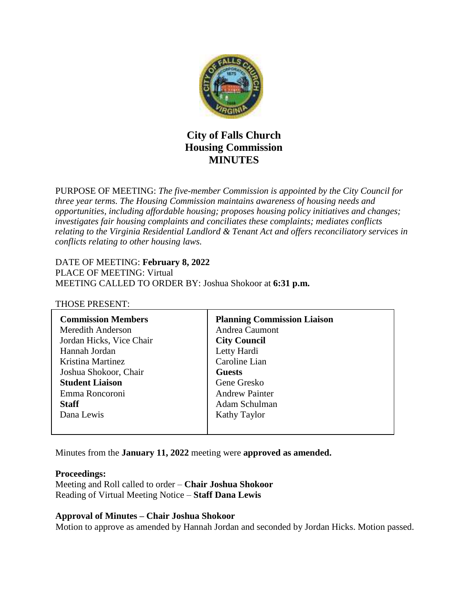

# **City of Falls Church Housing Commission MINUTES**

PURPOSE OF MEETING: *The five-member Commission is appointed by the City Council for three year terms. The Housing Commission maintains awareness of housing needs and opportunities, including affordable housing; proposes housing policy initiatives and changes; investigates fair housing complaints and conciliates these complaints; mediates conflicts relating to the Virginia Residential Landlord & Tenant Act and offers reconciliatory services in conflicts relating to other housing laws.* 

DATE OF MEETING: **February 8, 2022** PLACE OF MEETING: Virtual MEETING CALLED TO ORDER BY: Joshua Shokoor at **6:31 p.m.**

#### THOSE PRESENT:

| <b>Commission Members</b> | <b>Planning Commission Liaison</b> |
|---------------------------|------------------------------------|
| Meredith Anderson         | Andrea Caumont                     |
| Jordan Hicks, Vice Chair  | <b>City Council</b>                |
| Hannah Jordan             | Letty Hardi                        |
| Kristina Martinez         | Caroline Lian                      |
| Joshua Shokoor, Chair     | <b>Guests</b>                      |
| <b>Student Liaison</b>    | Gene Gresko                        |
| Emma Roncoroni            | <b>Andrew Painter</b>              |
| <b>Staff</b>              | Adam Schulman                      |
| Dana Lewis                | Kathy Taylor                       |
|                           |                                    |

Minutes from the **January 11, 2022** meeting were **approved as amended.**

#### **Proceedings:**

Meeting and Roll called to order – **Chair Joshua Shokoor** Reading of Virtual Meeting Notice – **Staff Dana Lewis**

#### **Approval of Minutes – Chair Joshua Shokoor**

Motion to approve as amended by Hannah Jordan and seconded by Jordan Hicks. Motion passed.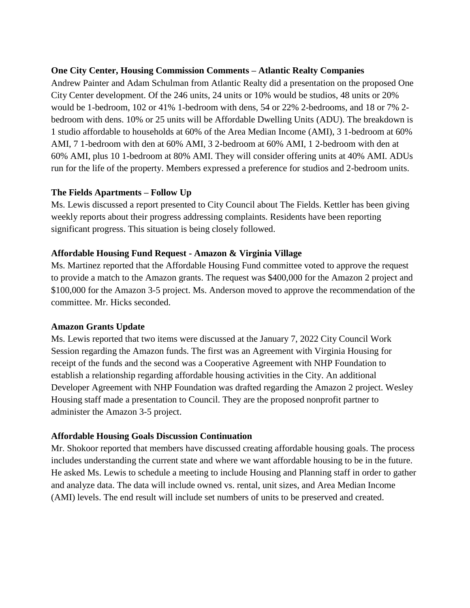## **One City Center, Housing Commission Comments – Atlantic Realty Companies**

Andrew Painter and Adam Schulman from Atlantic Realty did a presentation on the proposed One City Center development. Of the 246 units, 24 units or 10% would be studios, 48 units or 20% would be 1-bedroom, 102 or 41% 1-bedroom with dens, 54 or 22% 2-bedrooms, and 18 or 7% 2 bedroom with dens. 10% or 25 units will be Affordable Dwelling Units (ADU). The breakdown is 1 studio affordable to households at 60% of the Area Median Income (AMI), 3 1-bedroom at 60% AMI, 7 1-bedroom with den at 60% AMI, 3 2-bedroom at 60% AMI, 1 2-bedroom with den at 60% AMI, plus 10 1-bedroom at 80% AMI. They will consider offering units at 40% AMI. ADUs run for the life of the property. Members expressed a preference for studios and 2-bedroom units.

## **The Fields Apartments – Follow Up**

Ms. Lewis discussed a report presented to City Council about The Fields. Kettler has been giving weekly reports about their progress addressing complaints. Residents have been reporting significant progress. This situation is being closely followed.

## **Affordable Housing Fund Request - Amazon & Virginia Village**

Ms. Martinez reported that the Affordable Housing Fund committee voted to approve the request to provide a match to the Amazon grants. The request was \$400,000 for the Amazon 2 project and \$100,000 for the Amazon 3-5 project. Ms. Anderson moved to approve the recommendation of the committee. Mr. Hicks seconded.

#### **Amazon Grants Update**

Ms. Lewis reported that two items were discussed at the January 7, 2022 City Council Work Session regarding the Amazon funds. The first was an Agreement with Virginia Housing for receipt of the funds and the second was a Cooperative Agreement with NHP Foundation to establish a relationship regarding affordable housing activities in the City. An additional Developer Agreement with NHP Foundation was drafted regarding the Amazon 2 project. Wesley Housing staff made a presentation to Council. They are the proposed nonprofit partner to administer the Amazon 3-5 project.

## **Affordable Housing Goals Discussion Continuation**

Mr. Shokoor reported that members have discussed creating affordable housing goals. The process includes understanding the current state and where we want affordable housing to be in the future. He asked Ms. Lewis to schedule a meeting to include Housing and Planning staff in order to gather and analyze data. The data will include owned vs. rental, unit sizes, and Area Median Income (AMI) levels. The end result will include set numbers of units to be preserved and created.